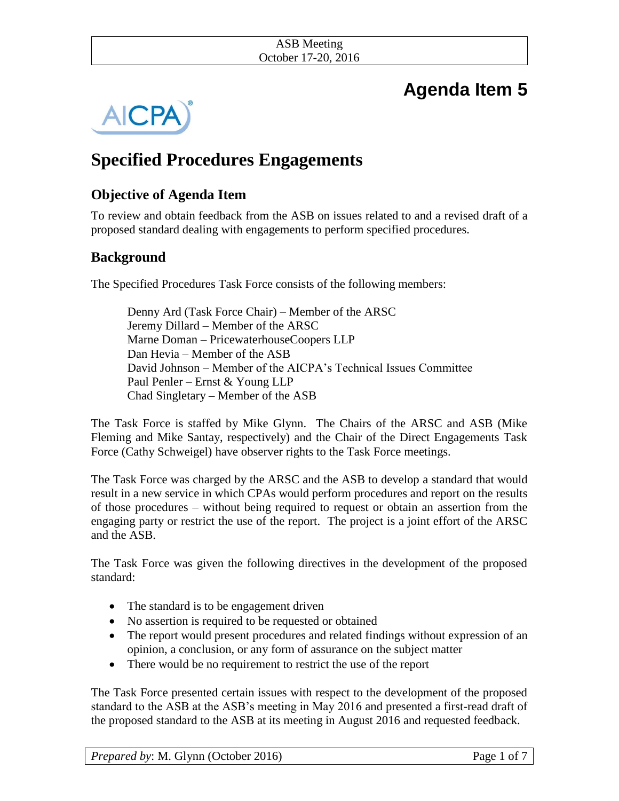#### ASB Meeting October 17-20, 2016

# **Agenda Item 5**



## **Specified Procedures Engagements**

## **Objective of Agenda Item**

To review and obtain feedback from the ASB on issues related to and a revised draft of a proposed standard dealing with engagements to perform specified procedures*.* 

## **Background**

The Specified Procedures Task Force consists of the following members:

Denny Ard (Task Force Chair) – Member of the ARSC Jeremy Dillard – Member of the ARSC Marne Doman – PricewaterhouseCoopers LLP Dan Hevia – Member of the ASB David Johnson – Member of the AICPA's Technical Issues Committee Paul Penler – Ernst & Young LLP Chad Singletary – Member of the ASB

The Task Force is staffed by Mike Glynn. The Chairs of the ARSC and ASB (Mike Fleming and Mike Santay, respectively) and the Chair of the Direct Engagements Task Force (Cathy Schweigel) have observer rights to the Task Force meetings.

The Task Force was charged by the ARSC and the ASB to develop a standard that would result in a new service in which CPAs would perform procedures and report on the results of those procedures – without being required to request or obtain an assertion from the engaging party or restrict the use of the report. The project is a joint effort of the ARSC and the ASB.

The Task Force was given the following directives in the development of the proposed standard:

- The standard is to be engagement driven
- No assertion is required to be requested or obtained
- The report would present procedures and related findings without expression of an opinion, a conclusion, or any form of assurance on the subject matter
- There would be no requirement to restrict the use of the report

The Task Force presented certain issues with respect to the development of the proposed standard to the ASB at the ASB's meeting in May 2016 and presented a first-read draft of the proposed standard to the ASB at its meeting in August 2016 and requested feedback.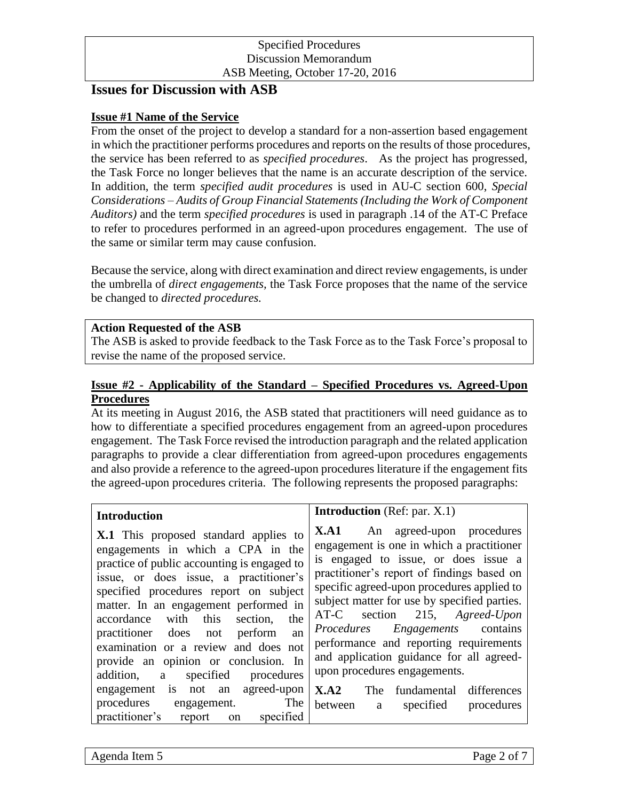#### Specified Procedures Discussion Memorandum ASB Meeting, October 17-20, 2016

## **Issues for Discussion with ASB**

#### **Issue #1 Name of the Service**

From the onset of the project to develop a standard for a non-assertion based engagement in which the practitioner performs procedures and reports on the results of those procedures, the service has been referred to as *specified procedures*. As the project has progressed, the Task Force no longer believes that the name is an accurate description of the service. In addition, the term *specified audit procedures* is used in AU-C section 600, *Special Considerations – Audits of Group Financial Statements (Including the Work of Component Auditors)* and the term *specified procedures* is used in paragraph .14 of the AT-C Preface to refer to procedures performed in an agreed-upon procedures engagement. The use of the same or similar term may cause confusion.

Because the service, along with direct examination and direct review engagements, is under the umbrella of *direct engagements,* the Task Force proposes that the name of the service be changed to *directed procedures.*

#### **Action Requested of the ASB**

The ASB is asked to provide feedback to the Task Force as to the Task Force's proposal to revise the name of the proposed service.

#### **Issue #2 - Applicability of the Standard – Specified Procedures vs. Agreed-Upon Procedures**

At its meeting in August 2016, the ASB stated that practitioners will need guidance as to how to differentiate a specified procedures engagement from an agreed-upon procedures engagement. The Task Force revised the introduction paragraph and the related application paragraphs to provide a clear differentiation from agreed-upon procedures engagements and also provide a reference to the agreed-upon procedures literature if the engagement fits the agreed-upon procedures criteria. The following represents the proposed paragraphs:

| <b>Introduction</b>                                                                                                                                                                                                                                                                                                                                                                                                                                                                                              | <b>Introduction</b> (Ref: par. X.1)                                                                                                                                                                                                                                                                                                                                                                                                                              |
|------------------------------------------------------------------------------------------------------------------------------------------------------------------------------------------------------------------------------------------------------------------------------------------------------------------------------------------------------------------------------------------------------------------------------------------------------------------------------------------------------------------|------------------------------------------------------------------------------------------------------------------------------------------------------------------------------------------------------------------------------------------------------------------------------------------------------------------------------------------------------------------------------------------------------------------------------------------------------------------|
| <b>X.1</b> This proposed standard applies to<br>engagements in which a CPA in the<br>practice of public accounting is engaged to<br>issue, or does issue, a practitioner's<br>specified procedures report on subject<br>matter. In an engagement performed in<br>accordance with this section,<br>the<br>practitioner does not<br>perform<br>an<br>examination or a review and does not<br>provide an opinion or conclusion. In<br>specified<br>procedures<br>addition,<br>a<br>engagement is not an agreed-upon | <b>X.A1</b> An agreed-upon procedures<br>engagement is one in which a practitioner<br>is engaged to issue, or does issue a<br>practitioner's report of findings based on<br>specific agreed-upon procedures applied to<br>subject matter for use by specified parties.<br>AT-C section 215, Agreed-Upon<br>Procedures Engagements contains<br>performance and reporting requirements<br>and application guidance for all agreed-<br>upon procedures engagements. |
| procedures engagement.<br>The<br>practitioner's report on specified                                                                                                                                                                                                                                                                                                                                                                                                                                              | X.A2<br>The fundamental differences<br>specified<br>between<br>procedures<br>a                                                                                                                                                                                                                                                                                                                                                                                   |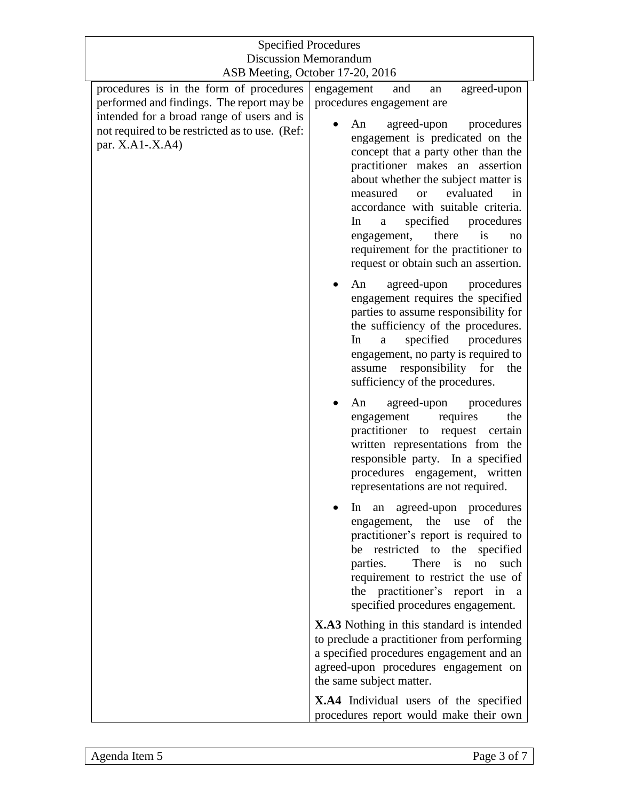| <b>Specified Procedures</b>                                                                                                        |                                                                                                                                                                                                                                                                                                                                                                                      |
|------------------------------------------------------------------------------------------------------------------------------------|--------------------------------------------------------------------------------------------------------------------------------------------------------------------------------------------------------------------------------------------------------------------------------------------------------------------------------------------------------------------------------------|
| <b>Discussion Memorandum</b>                                                                                                       |                                                                                                                                                                                                                                                                                                                                                                                      |
| ASB Meeting, October 17-20, 2016                                                                                                   |                                                                                                                                                                                                                                                                                                                                                                                      |
| procedures is in the form of procedures<br>performed and findings. The report may be<br>intended for a broad range of users and is | engagement<br>agreed-upon<br>and<br>an<br>procedures engagement are<br>agreed-upon<br>procedures<br>An                                                                                                                                                                                                                                                                               |
| not required to be restricted as to use. (Ref:<br>par. X.A1-.X.A4)                                                                 | engagement is predicated on the<br>concept that a party other than the<br>practitioner makes an assertion<br>about whether the subject matter is<br>evaluated<br>measured<br>or<br>in<br>accordance with suitable criteria.<br>specified<br>procedures<br>In<br>a<br>there<br>engagement,<br>is<br>no<br>requirement for the practitioner to<br>request or obtain such an assertion. |
|                                                                                                                                    | agreed-upon<br>procedures<br>An<br>engagement requires the specified<br>parties to assume responsibility for<br>the sufficiency of the procedures.<br>specified<br>procedures<br>In<br>a<br>engagement, no party is required to<br>assume responsibility for<br>the<br>sufficiency of the procedures.                                                                                |
|                                                                                                                                    | agreed-upon<br>procedures<br>An<br>engagement<br>requires<br>the<br>practitioner<br>certain<br>request<br>to<br>written representations from the<br>responsible party. In a specified<br>procedures engagement, written<br>representations are not required.                                                                                                                         |
|                                                                                                                                    | In an agreed-upon procedures<br>engagement, the use of the<br>practitioner's report is required to<br>be restricted to the specified<br>There is no<br>parties.<br>such<br>requirement to restrict the use of<br>the practitioner's report<br>in a<br>specified procedures engagement.                                                                                               |
|                                                                                                                                    | <b>X.A3</b> Nothing in this standard is intended<br>to preclude a practitioner from performing<br>a specified procedures engagement and an<br>agreed-upon procedures engagement on<br>the same subject matter.                                                                                                                                                                       |
|                                                                                                                                    | X.A4 Individual users of the specified<br>procedures report would make their own                                                                                                                                                                                                                                                                                                     |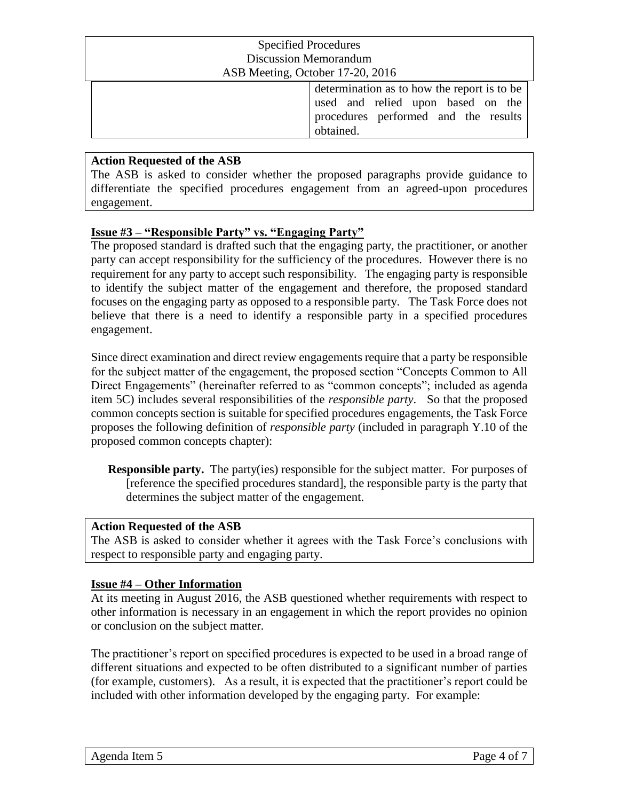| <b>Specified Procedures</b> |                                                                                                                                       |
|-----------------------------|---------------------------------------------------------------------------------------------------------------------------------------|
|                             | <b>Discussion Memorandum</b>                                                                                                          |
|                             | ASB Meeting, October 17-20, 2016                                                                                                      |
|                             | determination as to how the report is to be<br>used and relied upon based on the<br>procedures performed and the results<br>obtained. |

#### **Action Requested of the ASB**

The ASB is asked to consider whether the proposed paragraphs provide guidance to differentiate the specified procedures engagement from an agreed-upon procedures engagement.

#### **Issue #3 – "Responsible Party" vs. "Engaging Party"**

The proposed standard is drafted such that the engaging party, the practitioner, or another party can accept responsibility for the sufficiency of the procedures. However there is no requirement for any party to accept such responsibility. The engaging party is responsible to identify the subject matter of the engagement and therefore, the proposed standard focuses on the engaging party as opposed to a responsible party. The Task Force does not believe that there is a need to identify a responsible party in a specified procedures engagement.

Since direct examination and direct review engagements require that a party be responsible for the subject matter of the engagement, the proposed section "Concepts Common to All Direct Engagements" (hereinafter referred to as "common concepts"; included as agenda item 5C) includes several responsibilities of the *responsible party*. So that the proposed common concepts section is suitable for specified procedures engagements, the Task Force proposes the following definition of *responsible party* (included in paragraph Y.10 of the proposed common concepts chapter):

**Responsible party.** The party(ies) responsible for the subject matter. For purposes of [reference the specified procedures standard], the responsible party is the party that determines the subject matter of the engagement.

#### **Action Requested of the ASB**

The ASB is asked to consider whether it agrees with the Task Force's conclusions with respect to responsible party and engaging party.

#### **Issue #4 – Other Information**

At its meeting in August 2016, the ASB questioned whether requirements with respect to other information is necessary in an engagement in which the report provides no opinion or conclusion on the subject matter.

The practitioner's report on specified procedures is expected to be used in a broad range of different situations and expected to be often distributed to a significant number of parties (for example, customers). As a result, it is expected that the practitioner's report could be included with other information developed by the engaging party. For example: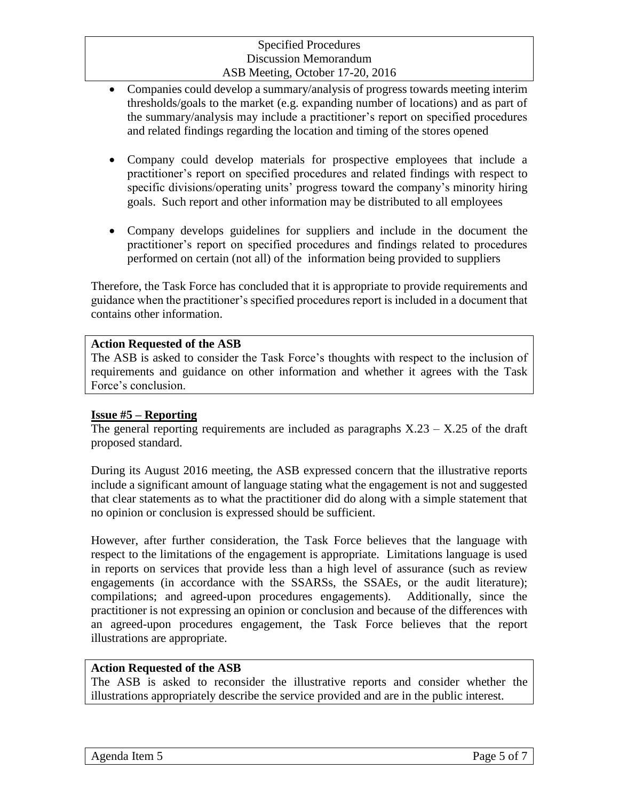#### Specified Procedures Discussion Memorandum ASB Meeting, October 17-20, 2016

- Companies could develop a summary/analysis of progress towards meeting interim thresholds/goals to the market (e.g. expanding number of locations) and as part of the summary/analysis may include a practitioner's report on specified procedures and related findings regarding the location and timing of the stores opened
- Company could develop materials for prospective employees that include a practitioner's report on specified procedures and related findings with respect to specific divisions/operating units' progress toward the company's minority hiring goals. Such report and other information may be distributed to all employees
- Company develops guidelines for suppliers and include in the document the practitioner's report on specified procedures and findings related to procedures performed on certain (not all) of the information being provided to suppliers

Therefore, the Task Force has concluded that it is appropriate to provide requirements and guidance when the practitioner's specified procedures report is included in a document that contains other information.

#### **Action Requested of the ASB**

The ASB is asked to consider the Task Force's thoughts with respect to the inclusion of requirements and guidance on other information and whether it agrees with the Task Force's conclusion.

#### **Issue #5 – Reporting**

The general reporting requirements are included as paragraphs  $X.23 - X.25$  of the draft proposed standard.

During its August 2016 meeting, the ASB expressed concern that the illustrative reports include a significant amount of language stating what the engagement is not and suggested that clear statements as to what the practitioner did do along with a simple statement that no opinion or conclusion is expressed should be sufficient.

However, after further consideration, the Task Force believes that the language with respect to the limitations of the engagement is appropriate. Limitations language is used in reports on services that provide less than a high level of assurance (such as review engagements (in accordance with the SSARSs, the SSAEs, or the audit literature); compilations; and agreed-upon procedures engagements). Additionally, since the practitioner is not expressing an opinion or conclusion and because of the differences with an agreed-upon procedures engagement, the Task Force believes that the report illustrations are appropriate.

#### **Action Requested of the ASB**

The ASB is asked to reconsider the illustrative reports and consider whether the illustrations appropriately describe the service provided and are in the public interest.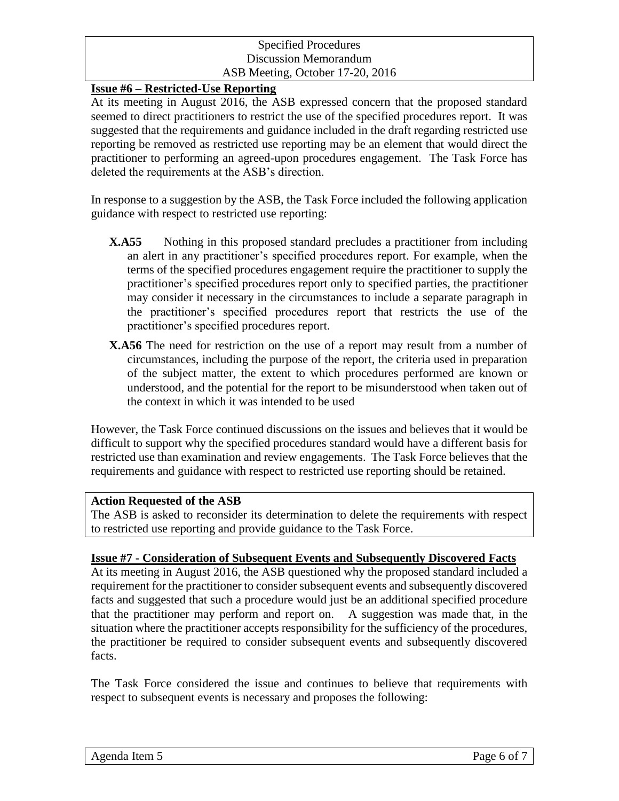#### Specified Procedures Discussion Memorandum ASB Meeting, October 17-20, 2016

#### **Issue #6 – Restricted-Use Reporting**

At its meeting in August 2016, the ASB expressed concern that the proposed standard seemed to direct practitioners to restrict the use of the specified procedures report. It was suggested that the requirements and guidance included in the draft regarding restricted use reporting be removed as restricted use reporting may be an element that would direct the practitioner to performing an agreed-upon procedures engagement. The Task Force has deleted the requirements at the ASB's direction.

In response to a suggestion by the ASB, the Task Force included the following application guidance with respect to restricted use reporting:

- **X.A55** Nothing in this proposed standard precludes a practitioner from including an alert in any practitioner's specified procedures report. For example, when the terms of the specified procedures engagement require the practitioner to supply the practitioner's specified procedures report only to specified parties, the practitioner may consider it necessary in the circumstances to include a separate paragraph in the practitioner's specified procedures report that restricts the use of the practitioner's specified procedures report.
- **X.A56** The need for restriction on the use of a report may result from a number of circumstances, including the purpose of the report, the criteria used in preparation of the subject matter, the extent to which procedures performed are known or understood, and the potential for the report to be misunderstood when taken out of the context in which it was intended to be used

However, the Task Force continued discussions on the issues and believes that it would be difficult to support why the specified procedures standard would have a different basis for restricted use than examination and review engagements. The Task Force believes that the requirements and guidance with respect to restricted use reporting should be retained.

#### **Action Requested of the ASB**

The ASB is asked to reconsider its determination to delete the requirements with respect to restricted use reporting and provide guidance to the Task Force.

#### **Issue #7 - Consideration of Subsequent Events and Subsequently Discovered Facts**

At its meeting in August 2016, the ASB questioned why the proposed standard included a requirement for the practitioner to consider subsequent events and subsequently discovered facts and suggested that such a procedure would just be an additional specified procedure that the practitioner may perform and report on. A suggestion was made that, in the situation where the practitioner accepts responsibility for the sufficiency of the procedures, the practitioner be required to consider subsequent events and subsequently discovered facts.

The Task Force considered the issue and continues to believe that requirements with respect to subsequent events is necessary and proposes the following: